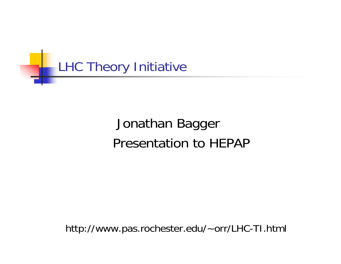

# Jonathan Bagger Presentation to HEPAP

http://www.pas.rochester.edu/~orr/LHC-TI.html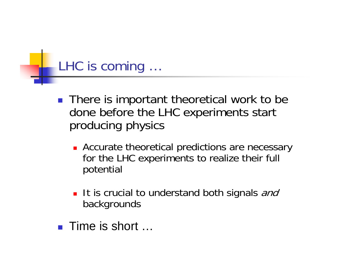### LHC is coming …

- There is important theoretical work to be done before the LHC experiments start producing physics
	- **Accurate theoretical predictions are necessary** for the LHC experiments to realize their full potential
	- It is crucial to understand both signals and backgrounds
- Time is short …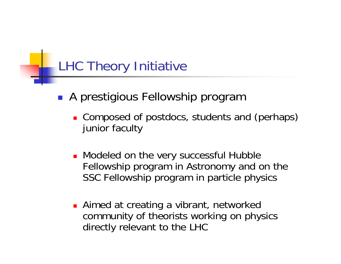### LHC Theory Initiative

- A prestigious Fellowship program
	- **Composed of postdocs, students and (perhaps)** junior faculty
	- **Nodeled on the very successful Hubble** Fellowship program in Astronomy and on the SSC Fellowship program in particle physics
	- **Aimed at creating a vibrant, networked** community of theorists working on physics directly relevant to the LHC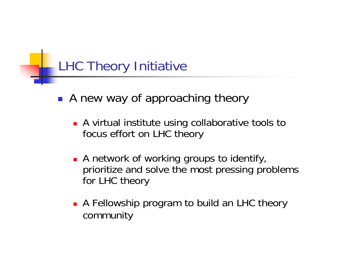# LHC Theory Initiative

- **A new way of approaching theory** 
	- **A** virtual institute using collaborative tools to focus effort on LHC theory
	- **A** network of working groups to identify, prioritize and solve the most pressing problems for LHC theory
	- **A** Fellowship program to build an LHC theory community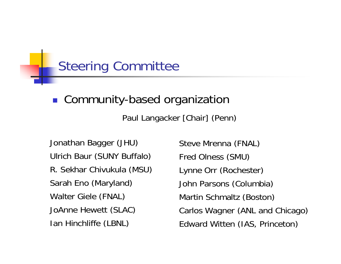### Steering Committee

#### ■ Community-based organization

Paul Langacker [Chair] (Penn)

Jonathan Bagger (JHU) Ulrich Baur (SUNY Buffalo) R. Sekhar Chivukula (MSU) Sarah Eno (Maryland) Walter Giele (FNAL) JoAnne Hewett (SLAC) Ian Hinchliffe (LBNL)

Steve Mrenna (FNAL) Fred Olness (SMU) Lynne Orr (Rochester) John Parsons (Columbia) Martin Schmaltz (Boston) Carlos Wagner (ANL and Chicago) Edward Witten (IAS, Princeton)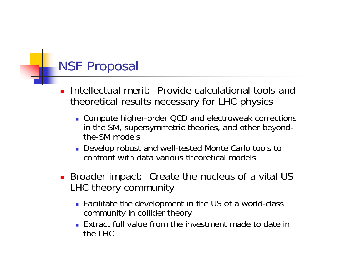### NSF Proposal

- П Intellectual merit: Provide calculational tools and theoretical results necessary for LHC physics
	- Compute higher-order QCD and electroweak corrections in the SM, supersymmetric theories, and other beyondthe-SM models
	- Develop robust and well-tested Monte Carlo tools to confront with data various theoretical models
- **Broader impact: Create the nucleus of a vital US** LHC theory community
	- Facilitate the development in the US of a world-class community in collider theory
	- Extract full value from the investment made to date in the LHC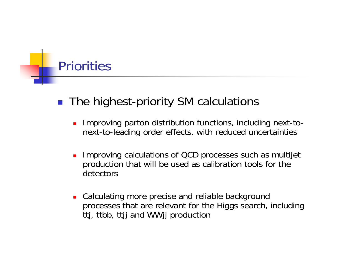# **Priorities**

#### ■ The highest-priority SM calculations

- П Improving parton distribution functions, including next-tonext-to-leading order effects, with reduced uncertainties
- Ξ Improving calculations of QCD processes such as multijet production that will be used as calibration tools for the detectors
- **EXA** Calculating more precise and reliable background processes that are relevant for the Higgs search, including ttj, ttbb, ttjj and WWjj production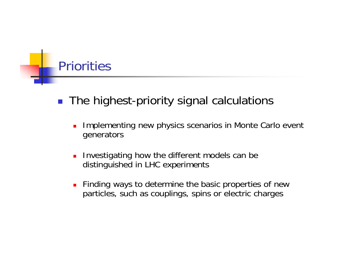### **Priorities**

- $\mathcal{L}_{\mathcal{A}}$  The highest-priority signal calculations
	- П Implementing new physics scenarios in Monte Carlo event generators
	- L. Investigating how the different models can be distinguished in LHC experiments
	- L. Finding ways to determine the basic properties of new particles, such as couplings, spins or electric charges